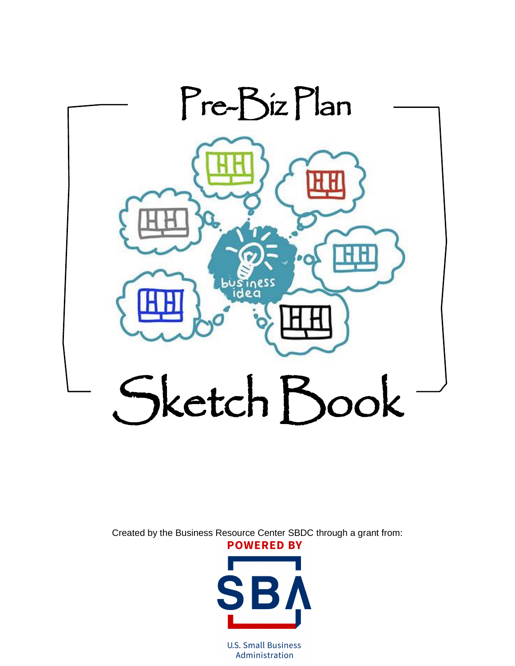

Created by the Business Resource Center SBDC through a grant from: **POWERED BY** 



**U.S. Small Business** Administration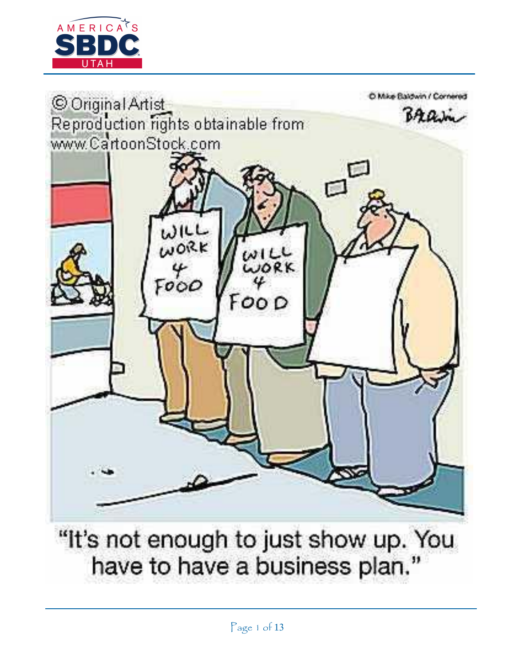



"It's not enough to just show up. You have to have a business plan."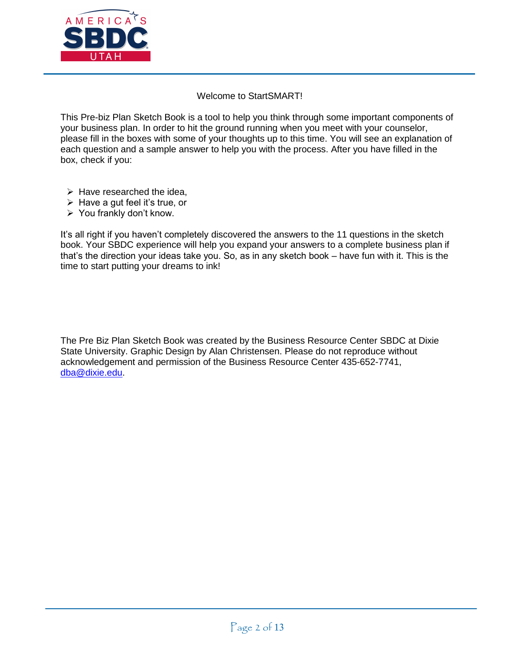

#### Welcome to StartSMART!

This Pre-biz Plan Sketch Book is a tool to help you think through some important components of your business plan. In order to hit the ground running when you meet with your counselor, please fill in the boxes with some of your thoughts up to this time. You will see an explanation of each question and a sample answer to help you with the process. After you have filled in the box, check if you:

- $\triangleright$  Have researched the idea.
- $\triangleright$  Have a gut feel it's true, or
- $\triangleright$  You frankly don't know.

It's all right if you haven't completely discovered the answers to the 11 questions in the sketch book. Your SBDC experience will help you expand your answers to a complete business plan if that's the direction your ideas take you. So, as in any sketch book – have fun with it. This is the time to start putting your dreams to ink!

The Pre Biz Plan Sketch Book was created by the Business Resource Center SBDC at Dixie State University. Graphic Design by Alan Christensen. Please do not reproduce without acknowledgement and permission of the Business Resource Center 435-652-7741, [dba@dixie.edu.](mailto:dba@dixie.edu)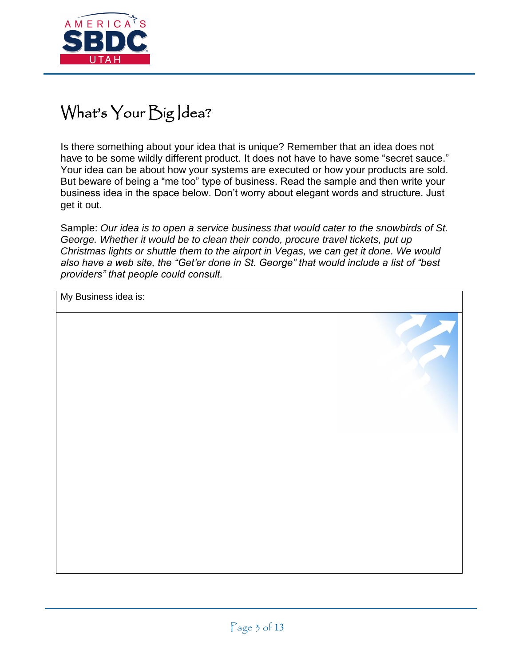

## What's Your Big Idea?

Is there something about your idea that is unique? Remember that an idea does not have to be some wildly different product. It does not have to have some "secret sauce." Your idea can be about how your systems are executed or how your products are sold. But beware of being a "me too" type of business. Read the sample and then write your business idea in the space below. Don't worry about elegant words and structure. Just get it out.

Sample: *Our idea is to open a service business that would cater to the snowbirds of St. George. Whether it would be to clean their condo, procure travel tickets, put up Christmas lights or shuttle them to the airport in Vegas, we can get it done. We would also have a web site, the "Get'er done in St. George" that would include a list of "best providers" that people could consult.*

My Business idea is: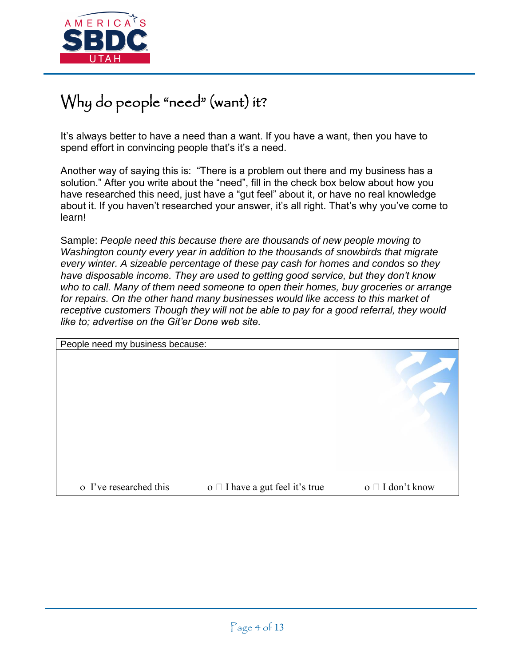

## Why do people "need" (want) it?

It's always better to have a need than a want. If you have a want, then you have to spend effort in convincing people that's it's a need.

Another way of saying this is: "There is a problem out there and my business has a solution." After you write about the "need", fill in the check box below about how you have researched this need, just have a "gut feel" about it, or have no real knowledge about it. If you haven't researched your answer, it's all right. That's why you've come to learn!

Sample: *People need this because there are thousands of new people moving to Washington county every year in addition to the thousands of snowbirds that migrate every winter. A sizeable percentage of these pay cash for homes and condos so they have disposable income. They are used to getting good service, but they don't know who to call. Many of them need someone to open their homes, buy groceries or arrange for repairs. On the other hand many businesses would like access to this market of receptive customers Though they will not be able to pay for a good referral, they would like to; advertise on the Git'er Done web site.*

| People need my business because: |                                      |                  |
|----------------------------------|--------------------------------------|------------------|
|                                  |                                      |                  |
| o I've researched this           | o $\Box$ I have a gut feel it's true | o □ I don't know |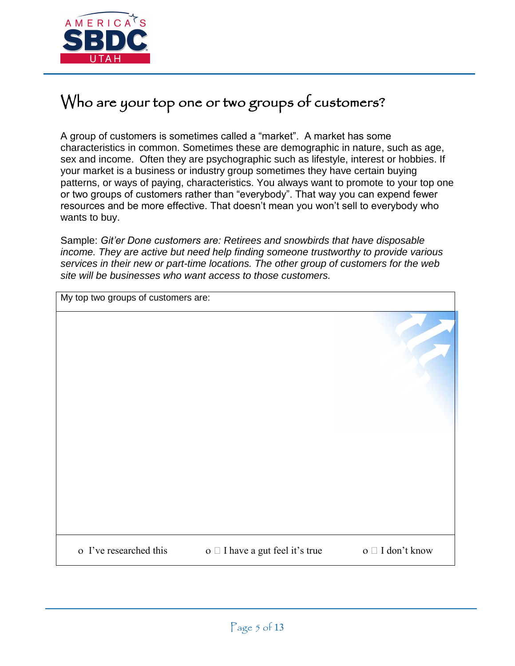

### Who are your top one or two groups of customers?

A group of customers is sometimes called a "market". A market has some characteristics in common. Sometimes these are demographic in nature, such as age, sex and income. Often they are psychographic such as lifestyle, interest or hobbies. If your market is a business or industry group sometimes they have certain buying patterns, or ways of paying, characteristics. You always want to promote to your top one or two groups of customers rather than "everybody". That way you can expend fewer resources and be more effective. That doesn't mean you won't sell to everybody who wants to buy.

Sample: *Git'er Done customers are: Retirees and snowbirds that have disposable income. They are active but need help finding someone trustworthy to provide various services in their new or part-time locations. The other group of customers for the web site will be businesses who want access to those customers.* 

| My top two groups of customers are: |                                      |                       |
|-------------------------------------|--------------------------------------|-----------------------|
|                                     |                                      |                       |
|                                     |                                      |                       |
| o I've researched this              | o $\Box$ I have a gut feel it's true | o $\Box$ I don't know |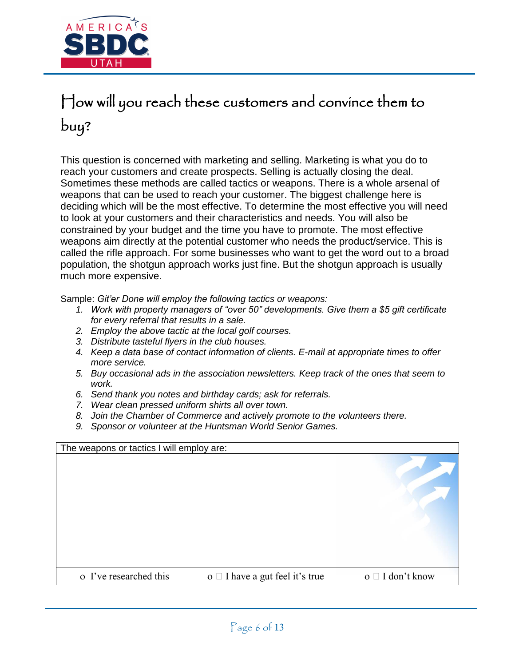

# How will you reach these customers and convince them to buy?

This question is concerned with marketing and selling. Marketing is what you do to reach your customers and create prospects. Selling is actually closing the deal. Sometimes these methods are called tactics or weapons. There is a whole arsenal of weapons that can be used to reach your customer. The biggest challenge here is deciding which will be the most effective. To determine the most effective you will need to look at your customers and their characteristics and needs. You will also be constrained by your budget and the time you have to promote. The most effective weapons aim directly at the potential customer who needs the product/service. This is called the rifle approach. For some businesses who want to get the word out to a broad population, the shotgun approach works just fine. But the shotgun approach is usually much more expensive.

Sample: *Git'er Done will employ the following tactics or weapons:* 

- *1. Work with property managers of "over 50" developments. Give them a \$5 gift certificate for every referral that results in a sale.*
- *2. Employ the above tactic at the local golf courses.*
- *3. Distribute tasteful flyers in the club houses.*
- *4. Keep a data base of contact information of clients. E-mail at appropriate times to offer more service.*
- *5. Buy occasional ads in the association newsletters. Keep track of the ones that seem to work.*
- *6. Send thank you notes and birthday cards; ask for referrals.*
- *7. Wear clean pressed uniform shirts all over town.*
- *8. Join the Chamber of Commerce and actively promote to the volunteers there.*
- *9. Sponsor or volunteer at the Huntsman World Senior Games.*

| The weapons or tactics I will employ are: |                                      |                          |
|-------------------------------------------|--------------------------------------|--------------------------|
|                                           |                                      |                          |
| o I've researched this                    | o $\Box$ I have a gut feel it's true | $o \square$ I don't know |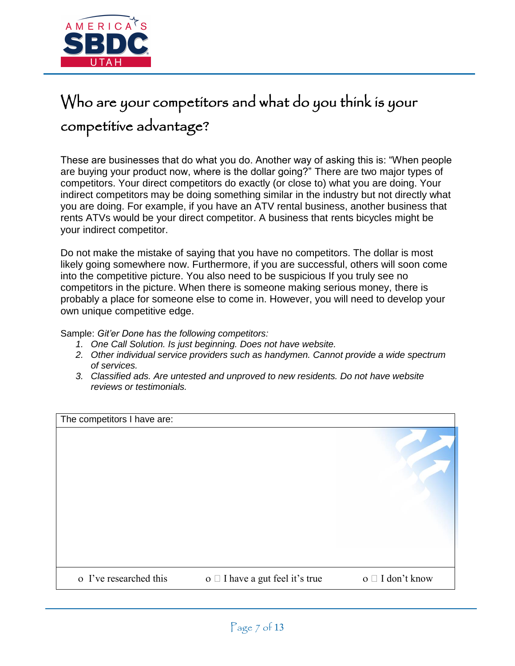

# Who are your competitors and what do you think is your competitive advantage?

These are businesses that do what you do. Another way of asking this is: "When people are buying your product now, where is the dollar going?" There are two major types of competitors. Your direct competitors do exactly (or close to) what you are doing. Your indirect competitors may be doing something similar in the industry but not directly what you are doing. For example, if you have an ATV rental business, another business that rents ATVs would be your direct competitor. A business that rents bicycles might be your indirect competitor.

Do not make the mistake of saying that you have no competitors. The dollar is most likely going somewhere now. Furthermore, if you are successful, others will soon come into the competitive picture. You also need to be suspicious If you truly see no competitors in the picture. When there is someone making serious money, there is probably a place for someone else to come in. However, you will need to develop your own unique competitive edge.

Sample: *Git'er Done has the following competitors:* 

- *1. One Call Solution. Is just beginning. Does not have website.*
- *2. Other individual service providers such as handymen. Cannot provide a wide spectrum of services.*
- *3. Classified ads. Are untested and unproved to new residents. Do not have website reviews or testimonials.*

| The competitors I have are: |                                         |                          |
|-----------------------------|-----------------------------------------|--------------------------|
|                             |                                         |                          |
| o I've researched this      | $o \square$ I have a gut feel it's true | $o \square$ I don't know |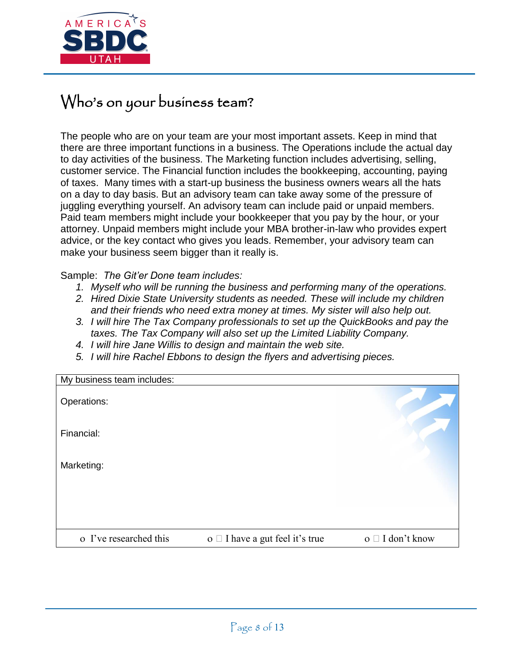

### Who's on your business team?

The people who are on your team are your most important assets. Keep in mind that there are three important functions in a business. The Operations include the actual day to day activities of the business. The Marketing function includes advertising, selling, customer service. The Financial function includes the bookkeeping, accounting, paying of taxes. Many times with a start-up business the business owners wears all the hats on a day to day basis. But an advisory team can take away some of the pressure of juggling everything yourself. An advisory team can include paid or unpaid members. Paid team members might include your bookkeeper that you pay by the hour, or your attorney. Unpaid members might include your MBA brother-in-law who provides expert advice, or the key contact who gives you leads. Remember, your advisory team can make your business seem bigger than it really is.

#### Sample: *The Git'er Done team includes:*

- *1. Myself who will be running the business and performing many of the operations.*
- *2. Hired Dixie State University students as needed. These will include my children and their friends who need extra money at times. My sister will also help out.*
- *3. I will hire The Tax Company professionals to set up the QuickBooks and pay the taxes. The Tax Company will also set up the Limited Liability Company.*
- *4. I will hire Jane Willis to design and maintain the web site.*
- *5. I will hire Rachel Ebbons to design the flyers and advertising pieces.*

| My business team includes: |                                      |                          |
|----------------------------|--------------------------------------|--------------------------|
| Operations:                |                                      |                          |
| Financial:                 |                                      |                          |
| Marketing:                 |                                      |                          |
|                            |                                      |                          |
| o I've researched this     | o $\Box$ I have a gut feel it's true | $o \square$ I don't know |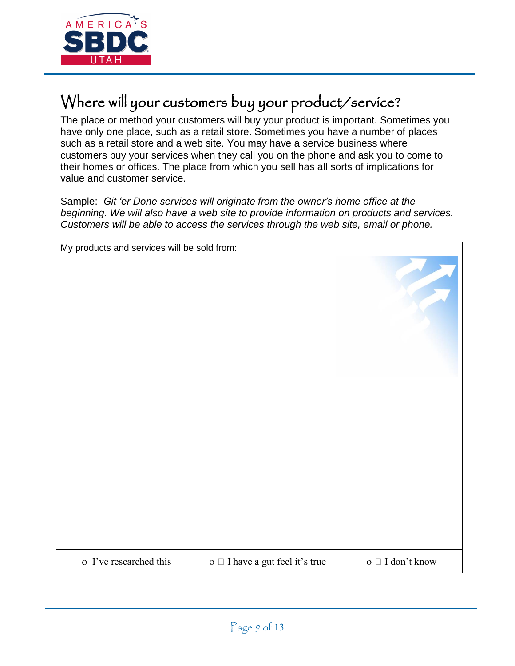

## Where will your customers buy your product/service?

The place or method your customers will buy your product is important. Sometimes you have only one place, such as a retail store. Sometimes you have a number of places such as a retail store and a web site. You may have a service business where customers buy your services when they call you on the phone and ask you to come to their homes or offices. The place from which you sell has all sorts of implications for value and customer service.

Sample: *Git 'er Done services will originate from the owner's home office at the beginning. We will also have a web site to provide information on products and services. Customers will be able to access the services through the web site, email or phone.* 

| My products and services will be sold from: |                                      |                                |
|---------------------------------------------|--------------------------------------|--------------------------------|
|                                             |                                      |                                |
| o I've researched this                      | o $\Box$ I have a gut feel it's true | o $\hfill\Box$<br>I don't know |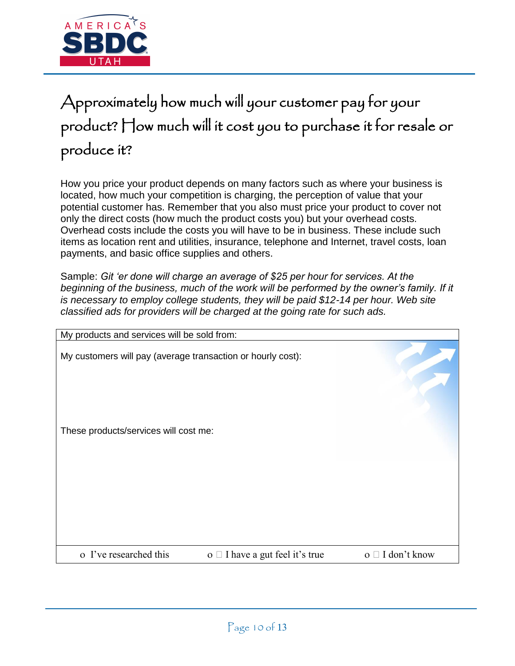

# Approximately how much will your customer pay for your product? How much will it cost you to purchase it for resale or produce it?

How you price your product depends on many factors such as where your business is located, how much your competition is charging, the perception of value that your potential customer has. Remember that you also must price your product to cover not only the direct costs (how much the product costs you) but your overhead costs. Overhead costs include the costs you will have to be in business. These include such items as location rent and utilities, insurance, telephone and Internet, travel costs, loan payments, and basic office supplies and others.

Sample: *Git 'er done will charge an average of \$25 per hour for services. At the*  beginning of the business, much of the work will be performed by the owner's family. If it *is necessary to employ college students, they will be paid \$12-14 per hour. Web site classified ads for providers will be charged at the going rate for such ads.* 

| My products and services will be sold from:                 |                                      |                          |
|-------------------------------------------------------------|--------------------------------------|--------------------------|
| My customers will pay (average transaction or hourly cost): |                                      |                          |
| These products/services will cost me:                       |                                      |                          |
|                                                             |                                      |                          |
|                                                             |                                      |                          |
| o I've researched this                                      | o $\Box$ I have a gut feel it's true | $o \square$ I don't know |
|                                                             |                                      |                          |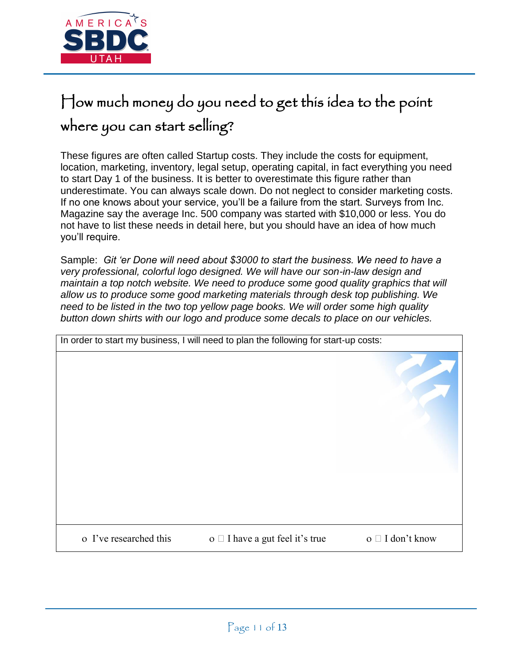

# How much money do you need to get this idea to the point where you can start selling?

These figures are often called Startup costs. They include the costs for equipment, location, marketing, inventory, legal setup, operating capital, in fact everything you need to start Day 1 of the business. It is better to overestimate this figure rather than underestimate. You can always scale down. Do not neglect to consider marketing costs. If no one knows about your service, you'll be a failure from the start. Surveys from Inc. Magazine say the average Inc. 500 company was started with \$10,000 or less. You do not have to list these needs in detail here, but you should have an idea of how much you'll require.

Sample: *Git 'er Done will need about \$3000 to start the business. We need to have a very professional, colorful logo designed. We will have our son-in-law design and maintain a top notch website. We need to produce some good quality graphics that will allow us to produce some good marketing materials through desk top publishing. We need to be listed in the two top yellow page books. We will order some high quality button down shirts with our logo and produce some decals to place on our vehicles.* 

| In order to start my business, I will need to plan the following for start-up costs: |                                         |                          |
|--------------------------------------------------------------------------------------|-----------------------------------------|--------------------------|
|                                                                                      |                                         |                          |
| o I've researched this                                                               | $o \square$ I have a gut feel it's true | $o \square$ I don't know |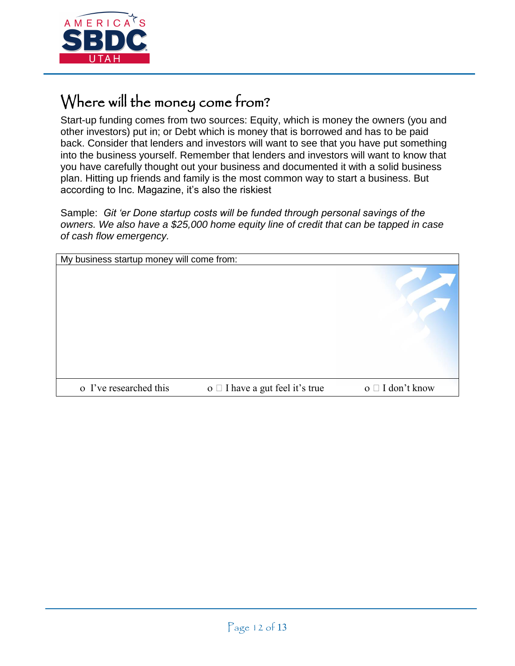

### Where will the money come from?

Start-up funding comes from two sources: Equity, which is money the owners (you and other investors) put in; or Debt which is money that is borrowed and has to be paid back. Consider that lenders and investors will want to see that you have put something into the business yourself. Remember that lenders and investors will want to know that you have carefully thought out your business and documented it with a solid business plan. Hitting up friends and family is the most common way to start a business. But according to Inc. Magazine, it's also the riskiest

Sample: *Git 'er Done startup costs will be funded through personal savings of the owners. We also have a \$25,000 home equity line of credit that can be tapped in case of cash flow emergency.* 

| My business startup money will come from: |                                         |                          |
|-------------------------------------------|-----------------------------------------|--------------------------|
|                                           |                                         |                          |
| o I've researched this                    | $o \square$ I have a gut feel it's true | $o \square$ I don't know |